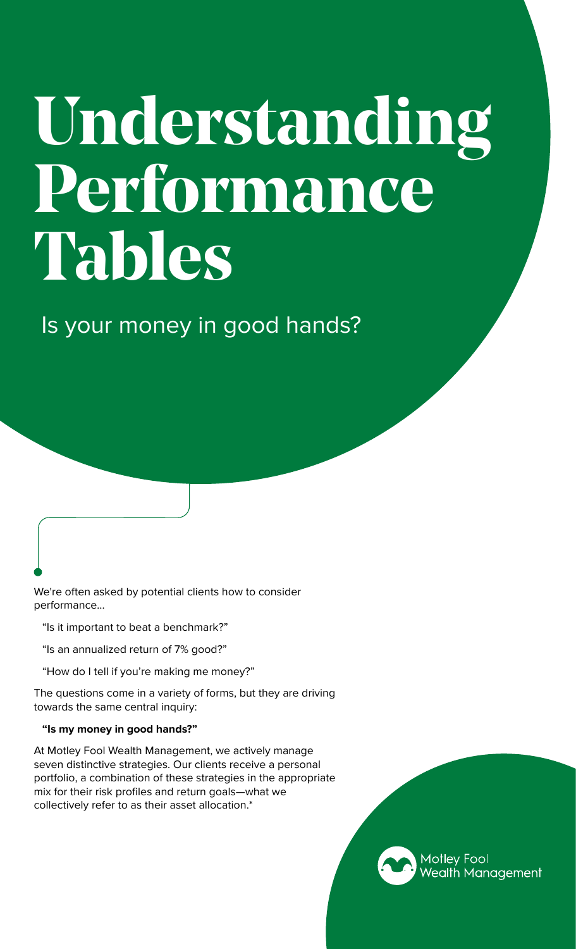# **Understanding Performance Tables**

Is your money in good hands?

We're often asked by potential clients how to consider performance...

"Is it important to beat a benchmark?"

- "Is an annualized return of 7% good?"
- "How do I tell if you're making me money?"

The questions come in a variety of forms, but they are driving towards the same central inquiry:

#### **"Is my money in good hands?"**

At Motley Fool Wealth Management, we actively manage seven distinctive strategies. Our clients receive a personal portfolio, a combination of these strategies in the appropriate mix for their risk profiles and return goals—what we collectively refer to as their asset allocation.\*

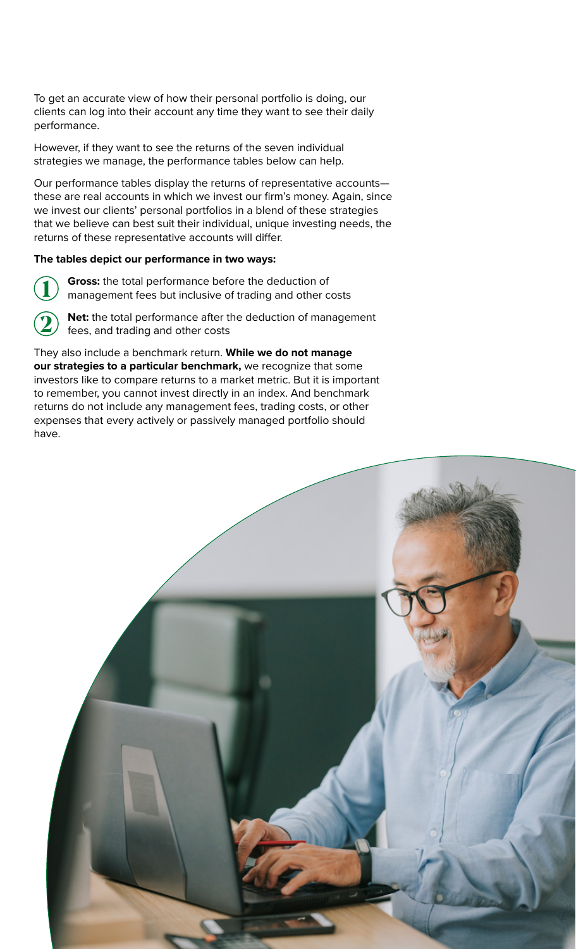To get an accurate view of how their personal portfolio is doing, our clients can log into their account any time they want to see their daily performance.

However, if they want to see the returns of the seven individual strategies we manage, the performance tables below can help.

Our performance tables display the returns of representative accounts these are real accounts in which we invest our firm's money. Again, since we invest our clients' personal portfolios in a blend of these strategies that we believe can best suit their individual, unique investing needs, the returns of these representative accounts will differ.

#### **The tables depict our performance in two ways:**

**1**

**Gross:** the total performance before the deduction of management fees but inclusive of trading and other costs



**Net:** the total performance after the deduction of management fees, and trading and other costs

They also include a benchmark return. **While we do not manage our strategies to a particular benchmark,** we recognize that some investors like to compare returns to a market metric. But it is important to remember, you cannot invest directly in an index. And benchmark returns do not include any management fees, trading costs, or other expenses that every actively or passively managed portfolio should have.

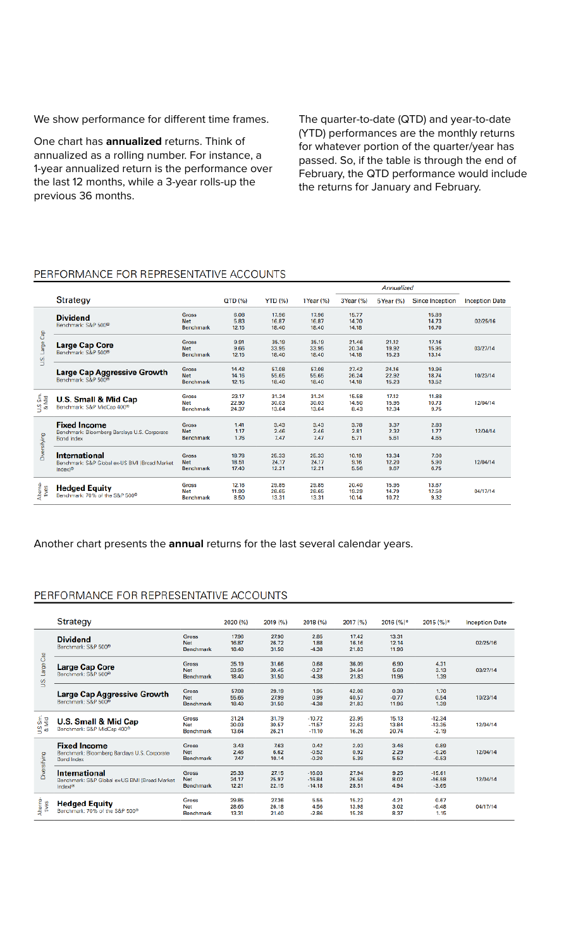We show performance for different time frames.

One chart has **annualized** returns. Think of annualized as a rolling number. For instance, a 1-year annualized return is the performance over the last 12 months, while a 3-year rolls-up the previous 36 months.

The quarter-to-date (QTD) and year-to-date (YTD) performances are the monthly returns for whatever portion of the quarter/year has passed. So, if the table is through the end of February, the QTD performance would include the returns for January and February.

#### PERFORMANCE FOR REPRESENTATIVE ACCOUNTS

|                    |                                                                                              |                                                |                         |                         |                         | Annualized              |                         |                         |                       |
|--------------------|----------------------------------------------------------------------------------------------|------------------------------------------------|-------------------------|-------------------------|-------------------------|-------------------------|-------------------------|-------------------------|-----------------------|
|                    | Strategy                                                                                     |                                                | QTD (%)                 | <b>YTD (%)</b>          | 1Year (%)               | 3Year (%)               | 5 Year (%)              | <b>Since Inception</b>  | <b>Inception Date</b> |
| ငိခ<br>Large<br>s, | <b>Dividend</b><br>Benchmark: S&P 500 <sup>®</sup>                                           | Gross<br><b>Net</b><br><b>Benchmark</b>        | 6.08<br>5.83<br>12.15   | 17.96<br>16.87<br>18.40 | 17.96<br>16.87<br>18.40 | 15.77<br>14.70<br>14.18 |                         | 15.89<br>14.73<br>16.70 | 02/25/16              |
|                    | <b>Large Cap Core</b><br>Benchmark: S&P 500 <sup>®</sup>                                     | <b>Gross</b><br><b>Net</b><br><b>Benchmark</b> | 9.91<br>9.66<br>12.15   | 35.19<br>33.95<br>18.40 | 35.19<br>33.95<br>18.40 | 21.46<br>20.34<br>14.18 | 21.12<br>19.92<br>15.23 | 17.16<br>15.95<br>13.14 | 03/27/14              |
|                    | <b>Large Cap Aggressive Growth</b><br>Benchmark: S&P 500 <sup>®</sup>                        | <b>Gross</b><br><b>Net</b><br><b>Benchmark</b> | 14.42<br>14.16<br>12.15 | 57.08<br>55.65<br>18.40 | 57.08<br>55.65<br>18.40 | 27.42<br>26.24<br>14.18 | 24.16<br>22.92<br>15.23 | 19.96<br>18.74<br>13.52 | 10/23/14              |
| U.S Sm.<br>& Mid   | U.S. Small & Mid Cap<br>Benchmark: S&P MidCap 400 <sup>®</sup>                               | <b>Gross</b><br><b>Net</b><br><b>Benchmark</b> | 23.17<br>22.90<br>24.37 | 31.24<br>30.03<br>13.64 | 31.24<br>30.03<br>13.64 | 15.58<br>14.50<br>8.43  | 17.12<br>15.95<br>12.34 | 11.88<br>10.73<br>9.75  | 12/04/14              |
| Diversifying       | <b>Fixed Income</b><br>Benchmark: Bloomberg Barclays U.S. Corporate<br><b>Bond Index</b>     | Gross<br><b>Net</b><br><b>Benchmark</b>        | 1.41<br>1.17<br>1.76    | 3.43<br>2.46<br>7.47    | 3.43<br>2.46<br>7.47    | 3.78<br>2.81<br>5.71    | 3.37<br>2.32<br>5.61    | 2.83<br>1.77<br>4.65    | 12/04/14              |
|                    | <b>International</b><br>Benchmark: S&P Global ex-US BMI (Broad Market<br>Index <sup>10</sup> | <b>Gross</b><br><b>Net</b><br>Benchmark        | 18.78<br>18.51<br>17.40 | 25.33<br>24.17<br>12.21 | 25.33<br>24.17<br>12.21 | 10.19<br>9.16<br>5.56   | 13.34<br>12.20<br>9.67  | 7.00<br>5.90<br>6.75    | 12/04/14              |
| Alterna-<br>tives  | <b>Hedged Equity</b><br>Benchmark: 70% of the S&P 500®                                       | Gross<br><b>Net</b><br><b>Benchmark</b>        | 12.16<br>11.90<br>8.50  | 29.85<br>28.65<br>13.31 | 29.85<br>28.65<br>13.31 | 20.40<br>19.29<br>10.14 | 15.95<br>14.79<br>10.72 | 13.67<br>12.50<br>9.32  | 04/17/14              |

#### Another chart presents the **annual** returns for the last several calendar years.

#### PERFORMANCE FOR REPRESENTATIVE ACCOUNTS

|                     | Strategy                                                                                    |                                         | 2020 (%)                | 2019 (%)                | 2018 (%)                         | 2017 (%)                | 2016 (%)*                | $2015(%)*$                      | <b>Inception Date</b> |
|---------------------|---------------------------------------------------------------------------------------------|-----------------------------------------|-------------------------|-------------------------|----------------------------------|-------------------------|--------------------------|---------------------------------|-----------------------|
| ී<br>Large<br>Š.    | <b>Dividend</b><br>Benchmark: S&P 500®                                                      | Gross<br>Net<br>Benchmark               | 17.96<br>16.87<br>18.40 | 27.90<br>26.72<br>31.50 | 2.85<br>1.88<br>$-4.38$          | 17.42<br>16.16<br>21.83 | 13.31<br>12.14<br>11.96  |                                 | 02/25/16              |
|                     | <b>Large Cap Core</b><br>Benchmark: S&P 500 <sup>®</sup>                                    | Gross<br>Net<br><b>Benchmark</b>        | 35.19<br>33.95<br>18.40 | 31.66<br>30.45<br>31.50 | 0.68<br>$-0.27$<br>$-4.38$       | 36.09<br>34.64<br>21.83 | 6.90<br>5.69<br>11.96    | 4.31<br>3.13<br>1.39            | 03/27/14              |
|                     | <b>Large Cap Aggressive Growth</b><br>Benchmark: S&P 500 <sup>®</sup>                       | Gross<br>Net<br>Benchmark               | 57.08<br>55.65<br>18.40 | 29.19<br>27.99<br>31.50 | 1.95<br>0.99<br>$-4.38$          | 42.08<br>40.57<br>21.83 | 0.38<br>$-0.77$<br>11.96 | 1.70<br>0.54<br>1.39            | 10/23/14              |
| Sm.<br>Mid<br>క్ష శ | <b>U.S. Small &amp; Mid Cap</b><br>Benchmark: S&P MidCap 400®                               | Gross<br>Net<br><b>Benchmark</b>        | 31.24<br>30.03<br>13.64 | 31.79<br>30.57<br>26.21 | $-10.72$<br>$-11.57$<br>$-11.10$ | 23.95<br>22.63<br>16.26 | 15.13<br>13.84<br>20.74  | $-12.34$<br>$-13.35$<br>$-2.19$ | 12/04/14              |
| Diversifying        | <b>Fixed Income</b><br>Benchmark: Bloomberg Barclays U.S. Corporate<br><b>Bond Index</b>    | Gross<br>Net<br><b>Benchmark</b>        | 3.43<br>2.46<br>7.47    | 7.63<br>6.62<br>10.14   | 0.42<br>$-0.52$<br>$-0.20$       | 2.03<br>0.92<br>5.39    | 3.46<br>2.29<br>5.52     | 0.89<br>$-0.26$<br>$-0.53$      | 12/04/14              |
|                     | <b>International</b><br>Benchmark: S&P Global ex-US BMI (Broad Market<br>Index $J^{\infty}$ | Gross<br><b>Net</b><br><b>Benchmark</b> | 25.33<br>24.17<br>12.21 | 27.15<br>25.97<br>22.15 | $-16.03$<br>$-16.84$<br>$-14.18$ | 27.94<br>26.58<br>28.51 | 9.25<br>8.02<br>4.94     | $-15.61$<br>$-16.58$<br>$-3.65$ | 12/04/14              |
| Alterna-<br>tives   | <b>Hedged Equity</b><br>Benchmark: 70% of the S&P 500 <sup>®</sup>                          | Gross<br>Net<br>Benchmark               | 29.85<br>28.65<br>13.31 | 27.36<br>26.18<br>21.40 | 5.55<br>4.56<br>$-2.86$          | 15.22<br>13.98<br>15.28 | 4.21<br>3.02<br>8.37     | 0.67<br>$-0.48$<br>1.15         | 04/17/14              |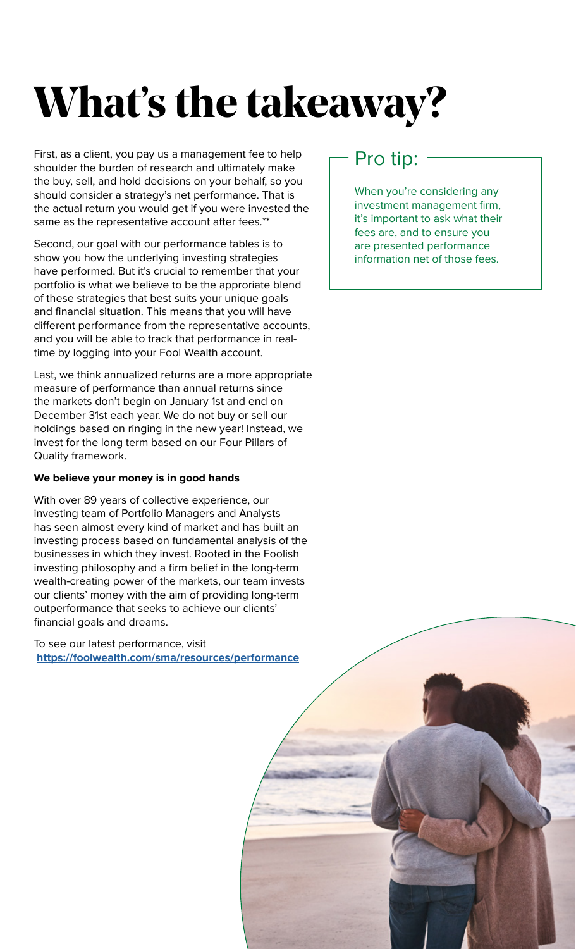## **What's the takeaway?**

First, as a client, you pay us a management fee to help shoulder the burden of research and ultimately make the buy, sell, and hold decisions on your behalf, so you should consider a strategy's net performance. That is the actual return you would get if you were invested the same as the representative account after fees.\*\*

Second, our goal with our performance tables is to show you how the underlying investing strategies have performed. But it's crucial to remember that your portfolio is what we believe to be the approriate blend of these strategies that best suits your unique goals and financial situation. This means that you will have different performance from the representative accounts, and you will be able to track that performance in realtime by logging into your Fool Wealth account.

Last, we think annualized returns are a more appropriate measure of performance than annual returns since the markets don't begin on January 1st and end on December 31st each year. We do not buy or sell our holdings based on ringing in the new year! Instead, we invest for the long term based on our Four Pillars of Quality framework.

#### **We believe your money is in good hands**

With over 89 years of collective experience, our investing team of Portfolio Managers and Analysts has seen almost every kind of market and has built an investing process based on fundamental analysis of the businesses in which they invest. Rooted in the Foolish investing philosophy and a firm belief in the long-term wealth-creating power of the markets, our team invests our clients' money with the aim of providing long-term outperformance that seeks to achieve our clients' financial goals and dreams.

To see our latest performance, visit **https://foolwealth.com/sma/resources/performance**

### Pro tip:

When you're considering any investment management firm, it's important to ask what their fees are, and to ensure you are presented performance information net of those fees.